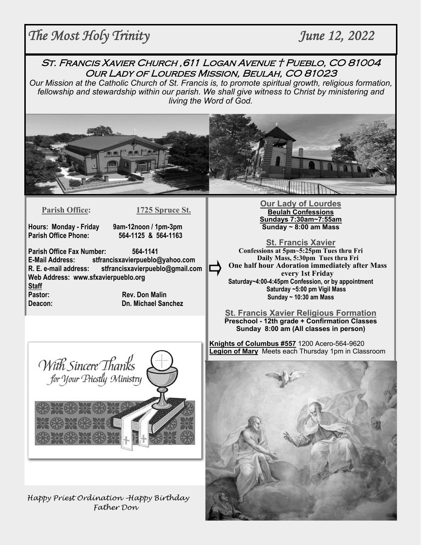# *The Most Holy Trinity June 12, 2022*

St. Francis Xavier Church ,611 Logan Avenue † Pueblo, CO 81004 Our Lady of Lourdes Mission, Beulah, CO 81023

*Our Mission at the Catholic Church of St. Francis is, to promote spiritual growth, religious formation, fellowship and stewardship within our parish. We shall give witness to Christ by ministering and living the Word of God.* 



**Parish Office: 1725 Spruce St.** 

**Hours: Monday - Friday 9am-12noon / 1pm-3pm** 

**Parish Office Phone: 564-1125 & 564-1163**

**Parish Office Fax Number: 564-1141 E-Mail Address: stfrancisxavierpueblo@yahoo.com R. E. e-mail address: stfrancisxavierpueblo@gmail.com Web Address: www.sfxavierpueblo.org Staff** 

**Pastor: Rev. Don Malin Deacon: Dn. Michael Sanchez** 



**St. Francis Xavier Confessions at 5pm~5:25pm Tues thru Fri Daily Mass, 5:30pm Tues thru Fri One half hour Adoration immediately after Mass every 1st Friday Saturday~4:00-4:45pm Confession, or by appointment Saturday ~5:00 pm Vigil Mass Sunday ~ 10:30 am Mass** 

**St. Francis Xavier Religious Formation Preschool - 12th grade + Confirmation Classes Sunday 8:00 am (All classes in person)** 

**Knights of Columbus #557** 1200 Acero-564-9620 **Legion of Mary** Meets each Thursday 1pm in Classroom



Happy Priest Ordination –Happy Birthday Father Don

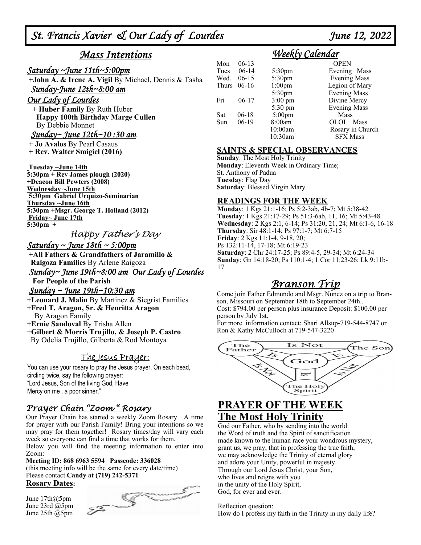*St. Francis Xavier & Our Lady of Lourdes June 12, 2022* 

## *Mass Intentions*

#### *Saturday ~June 11th~5:00pm*

 **+John A. & Irene A. Vigil** By Michael, Dennis & Tasha *Sunday-June 12th~8:00 am* 

#### *Our Lady of Lourdes*

 **+ Huber Family** By Ruth Huber  **Happy 100th Birthday Marge Cullen** By Debbie Monnet

#### *Sunday~ June 12th~10 :30 am*

 **+ Jo Avalos** By Pearl Casaus

**+ Rev. Walter Smigiel (2016)** 

 **Tuesday ~June 14th 5:30pm + Rev James plough (2020) +Deacon Bill Pewters (2008) Wednesday ~June 15th 5:30pm Gabriel Urquizo-Seminarian Thursday ~June 16th 5:30pm +Msgr. George T. Holland (2012)**

 **Friday~ June 17th 5:30pm +** 

### Happy Father's Day

#### *Saturday ~ June 18th ~ 5:00pm*

 **+All Fathers & Grandfathers of Jaramillo & Raigoza Families** By Arlene Raigoza

*Sunday~ June 19th~8:00 am Our Lady of Lourdes* 

## **For People of the Parish**

#### *Sunday ~ June 19th~10:30 am*

**+Leonard J. Malin** By Martinez & Siegrist Families

**+Fred T. Aragon, Sr. & Henritta Aragon** By Aragon Family

**+Ernie Sandoval** By Trisha Allen

+**Gilbert & Morris Trujillo, & Joseph P. Castro** 

By Odelia Trujillo, Gilberta & Rod Montoya

#### The Jesus Prayer:

You can use your rosary to pray the Jesus prayer. On each bead, circling twice, say the following prayer: "Lord Jesus, Son of the living God, Have Mercy on me , a poor sinner."

### Prayer Chain "Zoom " Rosary

Our Prayer Chain has started a weekly Zoom Rosary. A time for prayer with our Parish Family! Bring your intentions so we may pray for them together! Rosary times/day will vary each week so everyone can find a time that works for them.

Below you will find the meeting information to enter into Zoom:

#### **Meeting ID: 868 6963 5594 Passcode: 336028**

(this meeting info will be the same for every date/time) Please contact **Candy at (719) 242-5371** 

#### **Rosary Dates:**

June 17th@5pm June 23rd @5pm June 25th @5pm



## *Weekly Calendar*

| Mon   | $06-13$ |                    | <b>OPEN</b>         |
|-------|---------|--------------------|---------------------|
| Tues  | $06-14$ | 5:30 <sub>pm</sub> | Evening Mass        |
| Wed.  | $06-15$ | 5:30pm             | <b>Evening Mass</b> |
| Thurs | $06-16$ | $1:00$ pm          | Legion of Mary      |
|       |         | 5:30pm             | <b>Evening Mass</b> |
| Fri   | $06-17$ | $3:00 \text{ pm}$  | Divine Mercy        |
|       |         | $5:30 \text{ pm}$  | <b>Evening Mass</b> |
| Sat   | $06-18$ | $5:00$ pm          | Mass                |
| Sun   | $06-19$ | 8:00am             | OLOL Mass           |
|       |         | 10:00am            | Rosary in Church    |
|       |         | 10:30am            | <b>SFX Mass</b>     |

#### **SAINTS & SPECIAL OBSERVANCES**

**Sunday**: The Most Holy Trinity **Monday**: Eleventh Week in Ordinary Time; St. Anthony of Padua **Tuesday**: Flag Day **Saturday**: Blessed Virgin Mary

#### **READINGS FOR THE WEEK**

**Monday**: 1 Kgs 21:1-16; Ps 5:2-3ab, 4b-7; Mt 5:38-42 **Tuesday**: 1 Kgs 21:17-29; Ps 51:3-6ab, 11, 16; Mt 5:43-48 **Wednesday**: 2 Kgs 2:1, 6-14; Ps 31:20, 21, 24; Mt 6:1-6, 16-18 **Thursday**: Sir 48:1-14; Ps 97:1-7; Mt 6:7-15 **Friday**: 2 Kgs 11:1-4, 9-18, 20; Ps 132:11-14, 17-18; Mt 6:19-23 **Saturday**: 2 Chr 24:17-25; Ps 89:4-5, 29-34; Mt 6:24-34 **Sunday**: Gn 14:18-20; Ps 110:1-4; 1 Cor 11:23-26; Lk 9:11b-17

## Branson Trip

Come join Father Edmundo and Msgr. Nunez on a trip to Branson, Missouri on September 18th to September 24th.. Cost: \$794.00 per person plus insurance Deposit: \$100.00 per person by July 1st.

For more information contact: Shari Allsup-719-544-8747 or Ron & Kathy McCulloch at 719-547-3220



## **PRAYER OF THE WEEK The Most Holy Trinity**

God our Father, who by sending into the world the Word of truth and the Spirit of sanctification made known to the human race your wondrous mystery, grant us, we pray, that in professing the true faith, we may acknowledge the Trinity of eternal glory and adore your Unity, powerful in majesty. Through our Lord Jesus Christ, your Son, who lives and reigns with you in the unity of the Holy Spirit, God, for ever and ever.

Reflection question: How do I profess my faith in the Trinity in my daily life?